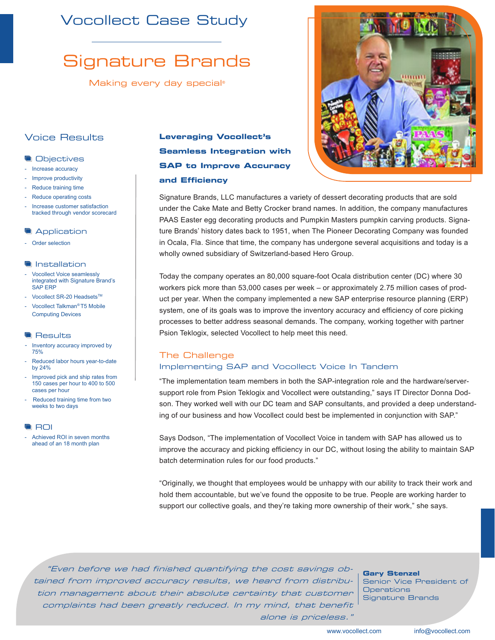# Vocollect Case Study

# Signature Brands

Making every day special*®*

## Voice Results

#### **Objectives**

- Increase accuracy
- Improve productivity
- Reduce training time
- Reduce operating costs
- Increase customer satisfaction tracked through vendor scorecard

#### **Application**

Order selection

#### **Installation**

- Vocollect Voice seamlessly integrated with Signature Brand's SAP ERP
- Vocollect SR-20 Headsets™
- Vocollect Talkman*®* T5 Mobile Computing Devices

#### **Results**

- Inventory accuracy improved by 75%
- Reduced labor hours year-to-date by 24%
- Improved pick and ship rates from 150 cases per hour to 400 to 500 cases per hour
- Reduced training time from two weeks to two days

#### **ROI**

Achieved ROI in seven months ahead of an 18 month plan

# **Leveraging Vocollect's Seamless Integration with SAP to Improve Accuracy and Efficiency**



Signature Brands, LLC manufactures a variety of dessert decorating products that are sold under the Cake Mate and Betty Crocker brand names. In addition, the company manufactures PAAS Easter egg decorating products and Pumpkin Masters pumpkin carving products. Signature Brands' history dates back to 1951, when The Pioneer Decorating Company was founded in Ocala, Fla. Since that time, the company has undergone several acquisitions and today is a wholly owned subsidiary of Switzerland-based Hero Group.

Today the company operates an 80,000 square-foot Ocala distribution center (DC) where 30 workers pick more than 53,000 cases per week – or approximately 2.75 million cases of product per year. When the company implemented a new SAP enterprise resource planning (ERP) system, one of its goals was to improve the inventory accuracy and efficiency of core picking processes to better address seasonal demands. The company, working together with partner Psion Teklogix, selected Vocollect to help meet this need.

## The Challenge Implementing SAP and Vocollect Voice In Tandem

"The implementation team members in both the SAP-integration role and the hardware/serversupport role from Psion Teklogix and Vocollect were outstanding," says IT Director Donna Dodson. They worked well with our DC team and SAP consultants, and provided a deep understanding of our business and how Vocollect could best be implemented in conjunction with SAP."

Says Dodson, "The implementation of Vocollect Voice in tandem with SAP has allowed us to improve the accuracy and picking efficiency in our DC, without losing the ability to maintain SAP batch determination rules for our food products."

"Originally, we thought that employees would be unhappy with our ability to track their work and hold them accountable, but we've found the opposite to be true. People are working harder to support our collective goals, and they're taking more ownership of their work," she says.

"Even before we had finished quantifying the cost savings obtained from improved accuracy results, we heard from distribution management about their absolute certainty that customer complaints had been greatly reduced. In my mind, that benefit alone is priceless."

**Gary Stenzel** Senior Vice President of **Operations** Signature Brands